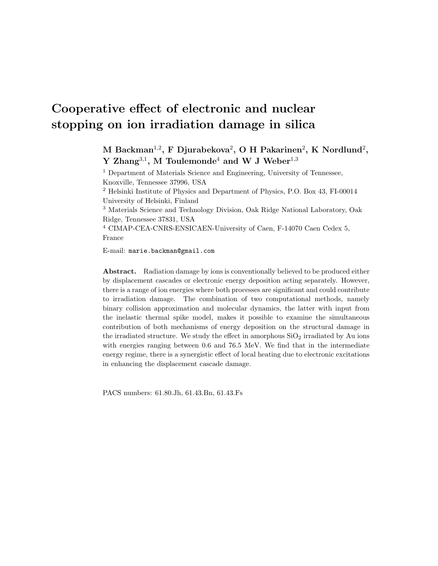# **Cooperative effect of electronic and nuclear stopping on ion irradiation damage in silica**

**M Backman**<sup>1</sup>*,*<sup>2</sup> **, F Djurabekova**<sup>2</sup> **, O H Pakarinen**<sup>2</sup> **, K Nordlund**<sup>2</sup> **,**  $Y$  Zhang<sup>3,1</sup>, M Toulemonde<sup>4</sup> and W J Weber<sup>1,3</sup>

<sup>1</sup> Department of Materials Science and Engineering, University of Tennessee, Knoxville, Tennessee 37996, USA

<sup>2</sup> Helsinki Institute of Physics and Department of Physics, P.O. Box 43, FI-00014 University of Helsinki, Finland

<sup>3</sup> Materials Science and Technology Division, Oak Ridge National Laboratory, Oak Ridge, Tennessee 37831, USA

<sup>4</sup> CIMAP-CEA-CNRS-ENSICAEN-University of Caen, F-14070 Caen Cedex 5, France

E-mail: marie.backman@gmail.com

**Abstract.** Radiation damage by ions is conventionally believed to be produced either by displacement cascades or electronic energy deposition acting separately. However, there is a range of ion energies where both processes are significant and could contribute to irradiation damage. The combination of two computational methods, namely binary collision approximation and molecular dynamics, the latter with input from the inelastic thermal spike model, makes it possible to examine the simultaneous contribution of both mechanisms of energy deposition on the structural damage in the irradiated structure. We study the effect in amorphous  $SiO<sub>2</sub>$  irradiated by Au ions with energies ranging between 0.6 and 76.5 MeV. We find that in the intermediate energy regime, there is a synergistic effect of local heating due to electronic excitations in enhancing the displacement cascade damage.

PACS numbers: 61.80.Jh, 61.43.Bn, 61.43.Fs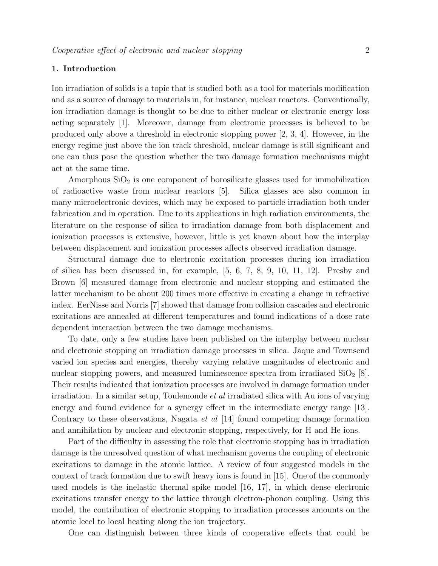# **1. Introduction**

Ion irradiation of solids is a topic that is studied both as a tool for materials modification and as a source of damage to materials in, for instance, nuclear reactors. Conventionally, ion irradiation damage is thought to be due to either nuclear or electronic energy loss acting separately [1]. Moreover, damage from electronic processes is believed to be produced only above a threshold in electronic stopping power [2, 3, 4]. However, in the energy regime just above the ion track threshold, nuclear damage is still significant and one can thus pose the question whether the two damage formation mechanisms might act at the same time.

Amorphous  $SiO<sub>2</sub>$  is one component of borosilicate glasses used for immobilization of radioactive waste from nuclear reactors [5]. Silica glasses are also common in many microelectronic devices, which may be exposed to particle irradiation both under fabrication and in operation. Due to its applications in high radiation environments, the literature on the response of silica to irradiation damage from both displacement and ionization processes is extensive, however, little is yet known about how the interplay between displacement and ionization processes affects observed irradiation damage.

Structural damage due to electronic excitation processes during ion irradiation of silica has been discussed in, for example, [5, 6, 7, 8, 9, 10, 11, 12]. Presby and Brown [6] measured damage from electronic and nuclear stopping and estimated the latter mechanism to be about 200 times more effective in creating a change in refractive index. EerNisse and Norris [7] showed that damage from collision cascades and electronic excitations are annealed at different temperatures and found indications of a dose rate dependent interaction between the two damage mechanisms.

To date, only a few studies have been published on the interplay between nuclear and electronic stopping on irradiation damage processes in silica. Jaque and Townsend varied ion species and energies, thereby varying relative magnitudes of electronic and nuclear stopping powers, and measured luminescence spectra from irradiated  $SiO<sub>2</sub>$  [8]. Their results indicated that ionization processes are involved in damage formation under irradiation. In a similar setup, Toulemonde *et al* irradiated silica with Au ions of varying energy and found evidence for a synergy effect in the intermediate energy range [13]. Contrary to these observations, Nagata *et al* [14] found competing damage formation and annihilation by nuclear and electronic stopping, respectively, for H and He ions.

Part of the difficulty in assessing the role that electronic stopping has in irradiation damage is the unresolved question of what mechanism governs the coupling of electronic excitations to damage in the atomic lattice. A review of four suggested models in the context of track formation due to swift heavy ions is found in [15]. One of the commonly used models is the inelastic thermal spike model [16, 17], in which dense electronic excitations transfer energy to the lattice through electron-phonon coupling. Using this model, the contribution of electronic stopping to irradiation processes amounts on the atomic lecel to local heating along the ion trajectory.

One can distinguish between three kinds of cooperative effects that could be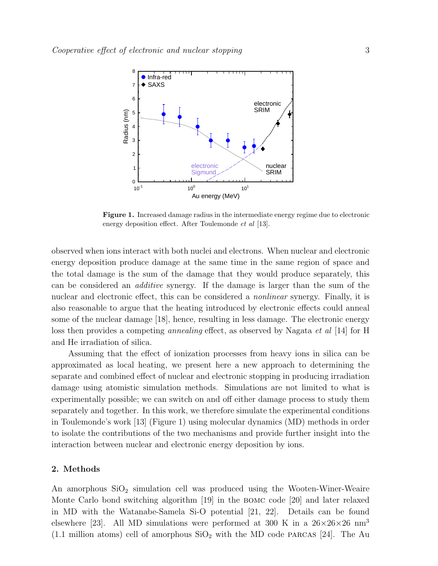

**Figure 1.** Increased damage radius in the intermediate energy regime due to electronic energy deposition effect. After Toulemonde *et al* [13].

observed when ions interact with both nuclei and electrons. When nuclear and electronic energy deposition produce damage at the same time in the same region of space and the total damage is the sum of the damage that they would produce separately, this can be considered an *additive* synergy. If the damage is larger than the sum of the nuclear and electronic effect, this can be considered a *nonlinear* synergy. Finally, it is also reasonable to argue that the heating introduced by electronic effects could anneal some of the nuclear damage [18], hence, resulting in less damage. The electronic energy loss then provides a competing *annealing* effect, as observed by Nagata *et al* [14] for H and He irradiation of silica.

Assuming that the effect of ionization processes from heavy ions in silica can be approximated as local heating, we present here a new approach to determining the separate and combined effect of nuclear and electronic stopping in producing irradiation damage using atomistic simulation methods. Simulations are not limited to what is experimentally possible; we can switch on and off either damage process to study them separately and together. In this work, we therefore simulate the experimental conditions in Toulemonde's work [13] (Figure 1) using molecular dynamics (MD) methods in order to isolate the contributions of the two mechanisms and provide further insight into the interaction between nuclear and electronic energy deposition by ions.

#### **2. Methods**

An amorphous  $SiO<sub>2</sub>$  simulation cell was produced using the Wooten-Winer-Weaire Monte Carlo bond switching algorithm [19] in the bomc code [20] and later relaxed in MD with the Watanabe-Samela Si-O potential [21, 22]. Details can be found elsewhere [23]. All MD simulations were performed at 300 K in a 26*×*26*×*26 nm<sup>3</sup>  $(1.1 \text{ million atoms})$  cell of amorphous  $SiO<sub>2</sub>$  with the MD code PARCAS [24]. The Au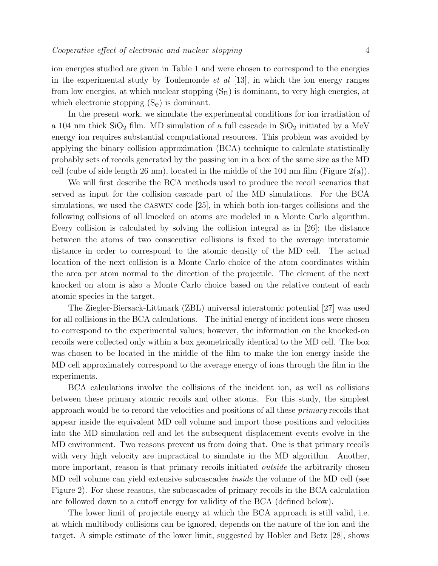ion energies studied are given in Table 1 and were chosen to correspond to the energies in the experimental study by Toulemonde *et al* [13], in which the ion energy ranges from low energies, at which nuclear stopping  $(S_n)$  is dominant, to very high energies, at which electronic stopping  $(S_e)$  is dominant.

In the present work, we simulate the experimental conditions for ion irradiation of a 104 nm thick  $SiO<sub>2</sub>$  film. MD simulation of a full cascade in  $SiO<sub>2</sub>$  initiated by a MeV energy ion requires substantial computational resources. This problem was avoided by applying the binary collision approximation (BCA) technique to calculate statistically probably sets of recoils generated by the passing ion in a box of the same size as the MD cell (cube of side length 26 nm), located in the middle of the  $104 \text{ nm film}$  (Figure  $2(a)$ ).

We will first describe the BCA methods used to produce the recoil scenarios that served as input for the collision cascade part of the MD simulations. For the BCA simulations, we used the caswin code [25], in which both ion-target collisions and the following collisions of all knocked on atoms are modeled in a Monte Carlo algorithm. Every collision is calculated by solving the collision integral as in [26]; the distance between the atoms of two consecutive collisions is fixed to the average interatomic distance in order to correspond to the atomic density of the MD cell. The actual location of the next collision is a Monte Carlo choice of the atom coordinates within the area per atom normal to the direction of the projectile. The element of the next knocked on atom is also a Monte Carlo choice based on the relative content of each atomic species in the target.

The Ziegler-Biersack-Littmark (ZBL) universal interatomic potential [27] was used for all collisions in the BCA calculations. The initial energy of incident ions were chosen to correspond to the experimental values; however, the information on the knocked-on recoils were collected only within a box geometrically identical to the MD cell. The box was chosen to be located in the middle of the film to make the ion energy inside the MD cell approximately correspond to the average energy of ions through the film in the experiments.

BCA calculations involve the collisions of the incident ion, as well as collisions between these primary atomic recoils and other atoms. For this study, the simplest approach would be to record the velocities and positions of all these *primary* recoils that appear inside the equivalent MD cell volume and import those positions and velocities into the MD simulation cell and let the subsequent displacement events evolve in the MD environment. Two reasons prevent us from doing that. One is that primary recoils with very high velocity are impractical to simulate in the MD algorithm. Another, more important, reason is that primary recoils initiated *outside* the arbitrarily chosen MD cell volume can yield extensive subcascades *inside* the volume of the MD cell (see Figure 2). For these reasons, the subcascades of primary recoils in the BCA calculation are followed down to a cutoff energy for validity of the BCA (defined below).

The lower limit of projectile energy at which the BCA approach is still valid, i.e. at which multibody collisions can be ignored, depends on the nature of the ion and the target. A simple estimate of the lower limit, suggested by Hobler and Betz [28], shows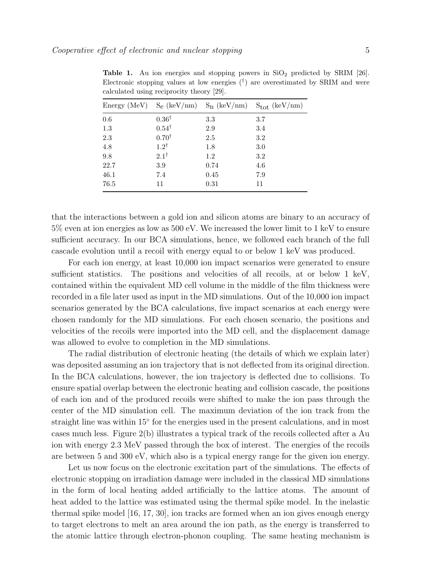|         |                  | Energy (MeV) $S_e$ (keV/nm) $S_n$ (keV/nm) | $S_{\text{tot}}$ (keV/nm) |
|---------|------------------|--------------------------------------------|---------------------------|
| 0.6     | $0.36^{\dagger}$ | 3.3                                        | 3.7                       |
| 1.3     | $0.54^{\dagger}$ | 2.9                                        | 3.4                       |
| $2.3\,$ | $0.70^{\dagger}$ | 2.5                                        | $3.2\,$                   |
| 4.8     | $1.2^{\dagger}$  | 1.8                                        | 3.0                       |
| 9.8     | $2.1^{\dagger}$  | 1.2                                        | 3.2                       |
| 22.7    | 3.9              | 0.74                                       | 4.6                       |
| 46.1    | 7.4              | 0.45                                       | 7.9                       |
| 76.5    | 11               | 0.31                                       | 11                        |

**Table 1.** Au ion energies and stopping powers in  $SiO<sub>2</sub>$  predicted by SRIM [26]. Electronic stopping values at low energies (*†* ) are overestimated by SRIM and were calculated using reciprocity theory [29].

that the interactions between a gold ion and silicon atoms are binary to an accuracy of 5% even at ion energies as low as 500 eV. We increased the lower limit to 1 keV to ensure sufficient accuracy. In our BCA simulations, hence, we followed each branch of the full cascade evolution until a recoil with energy equal to or below 1 keV was produced.

For each ion energy, at least 10,000 ion impact scenarios were generated to ensure sufficient statistics. The positions and velocities of all recoils, at or below 1 keV, contained within the equivalent MD cell volume in the middle of the film thickness were recorded in a file later used as input in the MD simulations. Out of the 10,000 ion impact scenarios generated by the BCA calculations, five impact scenarios at each energy were chosen randomly for the MD simulations. For each chosen scenario, the positions and velocities of the recoils were imported into the MD cell, and the displacement damage was allowed to evolve to completion in the MD simulations.

The radial distribution of electronic heating (the details of which we explain later) was deposited assuming an ion trajectory that is not deflected from its original direction. In the BCA calculations, however, the ion trajectory is deflected due to collisions. To ensure spatial overlap between the electronic heating and collision cascade, the positions of each ion and of the produced recoils were shifted to make the ion pass through the center of the MD simulation cell. The maximum deviation of the ion track from the straight line was within 15*◦* for the energies used in the present calculations, and in most cases much less. Figure 2(b) illustrates a typical track of the recoils collected after a Au ion with energy 2.3 MeV passed through the box of interest. The energies of the recoils are between 5 and 300 eV, which also is a typical energy range for the given ion energy.

Let us now focus on the electronic excitation part of the simulations. The effects of electronic stopping on irradiation damage were included in the classical MD simulations in the form of local heating added artificially to the lattice atoms. The amount of heat added to the lattice was estimated using the thermal spike model. In the inelastic thermal spike model [16, 17, 30], ion tracks are formed when an ion gives enough energy to target electrons to melt an area around the ion path, as the energy is transferred to the atomic lattice through electron-phonon coupling. The same heating mechanism is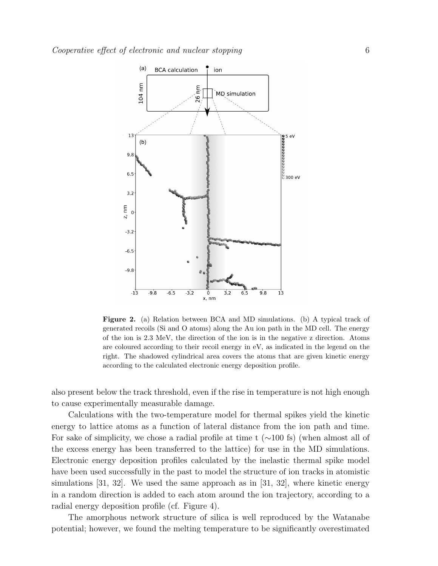

**Figure 2.** (a) Relation between BCA and MD simulations. (b) A typical track of generated recoils (Si and O atoms) along the Au ion path in the MD cell. The energy of the ion is 2.3 MeV, the direction of the ion is in the negative z direction. Atoms are coloured according to their recoil energy in eV, as indicated in the legend on the right. The shadowed cylindrical area covers the atoms that are given kinetic energy according to the calculated electronic energy deposition profile.

also present below the track threshold, even if the rise in temperature is not high enough to cause experimentally measurable damage.

Calculations with the two-temperature model for thermal spikes yield the kinetic energy to lattice atoms as a function of lateral distance from the ion path and time. For sake of simplicity, we chose a radial profile at time t (*∼*100 fs) (when almost all of the excess energy has been transferred to the lattice) for use in the MD simulations. Electronic energy deposition profiles calculated by the inelastic thermal spike model have been used successfully in the past to model the structure of ion tracks in atomistic simulations [31, 32]. We used the same approach as in [31, 32], where kinetic energy in a random direction is added to each atom around the ion trajectory, according to a radial energy deposition profile (cf. Figure 4).

The amorphous network structure of silica is well reproduced by the Watanabe potential; however, we found the melting temperature to be significantly overestimated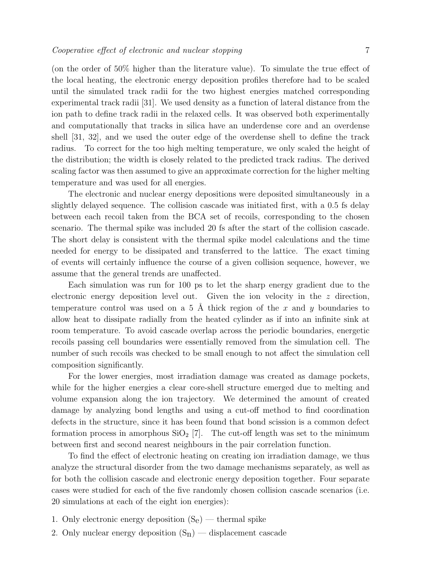(on the order of 50% higher than the literature value). To simulate the true effect of the local heating, the electronic energy deposition profiles therefore had to be scaled until the simulated track radii for the two highest energies matched corresponding experimental track radii [31]. We used density as a function of lateral distance from the ion path to define track radii in the relaxed cells. It was observed both experimentally and computationally that tracks in silica have an underdense core and an overdense shell [31, 32], and we used the outer edge of the overdense shell to define the track radius. To correct for the too high melting temperature, we only scaled the height of the distribution; the width is closely related to the predicted track radius. The derived scaling factor was then assumed to give an approximate correction for the higher melting temperature and was used for all energies.

The electronic and nuclear energy depositions were deposited simultaneously in a slightly delayed sequence. The collision cascade was initiated first, with a 0.5 fs delay between each recoil taken from the BCA set of recoils, corresponding to the chosen scenario. The thermal spike was included 20 fs after the start of the collision cascade. The short delay is consistent with the thermal spike model calculations and the time needed for energy to be dissipated and transferred to the lattice. The exact timing of events will certainly influence the course of a given collision sequence, however, we assume that the general trends are unaffected.

Each simulation was run for 100 ps to let the sharp energy gradient due to the electronic energy deposition level out. Given the ion velocity in the *z* direction, temperature control was used on a 5  $\AA$  thick region of the  $x$  and  $y$  boundaries to allow heat to dissipate radially from the heated cylinder as if into an infinite sink at room temperature. To avoid cascade overlap across the periodic boundaries, energetic recoils passing cell boundaries were essentially removed from the simulation cell. The number of such recoils was checked to be small enough to not affect the simulation cell composition significantly.

For the lower energies, most irradiation damage was created as damage pockets, while for the higher energies a clear core-shell structure emerged due to melting and volume expansion along the ion trajectory. We determined the amount of created damage by analyzing bond lengths and using a cut-off method to find coordination defects in the structure, since it has been found that bond scission is a common defect formation process in amorphous  $SiO<sub>2</sub>$  [7]. The cut-off length was set to the minimum between first and second nearest neighbours in the pair correlation function.

To find the effect of electronic heating on creating ion irradiation damage, we thus analyze the structural disorder from the two damage mechanisms separately, as well as for both the collision cascade and electronic energy deposition together. Four separate cases were studied for each of the five randomly chosen collision cascade scenarios (i.e. 20 simulations at each of the eight ion energies):

- 1. Only electronic energy deposition  $(S_e)$  thermal spike
- 2. Only nuclear energy deposition  $(S_n)$  displacement cascade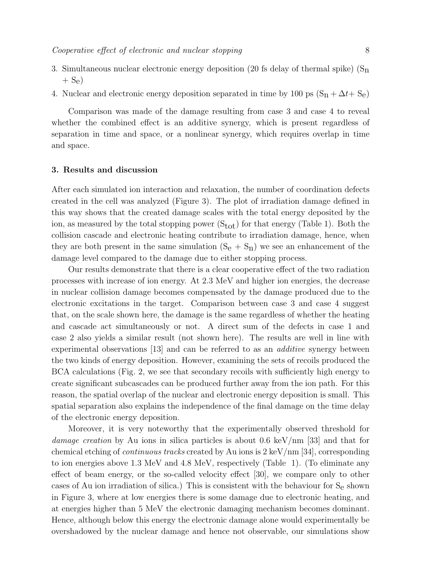- 3. Simultaneous nuclear electronic energy deposition (20 fs delay of thermal spike) ( $S_n$ )  $+ S_e$
- 4. Nuclear and electronic energy deposition separated in time by 100 ps  $(S_n + \Delta t + S_e)$

Comparison was made of the damage resulting from case 3 and case 4 to reveal whether the combined effect is an additive synergy, which is present regardless of separation in time and space, or a nonlinear synergy, which requires overlap in time and space.

#### **3. Results and discussion**

After each simulated ion interaction and relaxation, the number of coordination defects created in the cell was analyzed (Figure 3). The plot of irradiation damage defined in this way shows that the created damage scales with the total energy deposited by the ion, as measured by the total stopping power  $(S_{tot})$  for that energy (Table 1). Both the collision cascade and electronic heating contribute to irradiation damage, hence, when they are both present in the same simulation  $(S_e + S_n)$  we see an enhancement of the damage level compared to the damage due to either stopping process.

Our results demonstrate that there is a clear cooperative effect of the two radiation processes with increase of ion energy. At 2.3 MeV and higher ion energies, the decrease in nuclear collision damage becomes compensated by the damage produced due to the electronic excitations in the target. Comparison between case 3 and case 4 suggest that, on the scale shown here, the damage is the same regardless of whether the heating and cascade act simultaneously or not. A direct sum of the defects in case 1 and case 2 also yields a similar result (not shown here). The results are well in line with experimental observations [13] and can be referred to as an *additive* synergy between the two kinds of energy deposition. However, examining the sets of recoils produced the BCA calculations (Fig. 2, we see that secondary recoils with sufficiently high energy to create significant subcascades can be produced further away from the ion path. For this reason, the spatial overlap of the nuclear and electronic energy deposition is small. This spatial separation also explains the independence of the final damage on the time delay of the electronic energy deposition.

Moreover, it is very noteworthy that the experimentally observed threshold for *damage creation* by Au ions in silica particles is about 0.6 keV/nm [33] and that for chemical etching of *continuous tracks* created by Au ions is 2 keV/nm [34], corresponding to ion energies above 1.3 MeV and 4.8 MeV, respectively (Table 1). (To eliminate any effect of beam energy, or the so-called velocity effect [30], we compare only to other cases of Au ion irradiation of silica.) This is consistent with the behaviour for  $S_e$  shown in Figure 3, where at low energies there is some damage due to electronic heating, and at energies higher than 5 MeV the electronic damaging mechanism becomes dominant. Hence, although below this energy the electronic damage alone would experimentally be overshadowed by the nuclear damage and hence not observable, our simulations show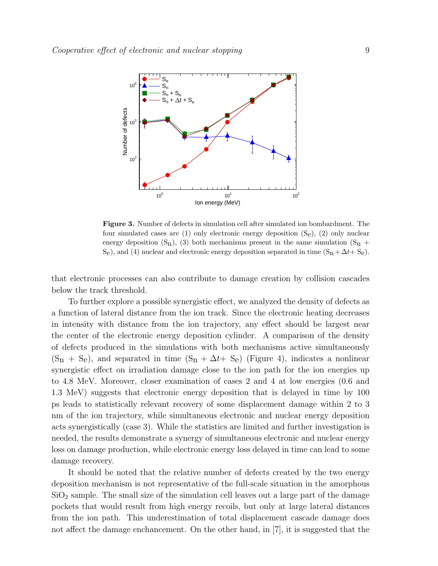

**Figure 3.** Number of defects in simulation cell after simulated ion bombardment. The four simulated cases are  $(1)$  only electronic energy deposition  $(S_e)$ ,  $(2)$  only nuclear energy deposition  $(S_n)$ ,  $(3)$  both mechanisms present in the same simulation  $(S_n +$ S<sub>e</sub>), and (4) nuclear and electronic energy deposition separated in time  $(S_n + \Delta t + S_e)$ .

that electronic processes can also contribute to damage creation by collision cascades below the track threshold.

To further explore a possible synergistic effect, we analyzed the density of defects as a function of lateral distance from the ion track. Since the electronic heating decreases in intensity with distance from the ion trajectory, any effect should be largest near the center of the electronic energy deposition cylinder. A comparison of the density of defects produced in the simulations with both mechanisms active simultaneously  $(S_n + S_e)$ , and separated in time  $(S_n + \Delta t + S_e)$  (Figure 4), indicates a nonlinear synergistic effect on irradiation damage close to the ion path for the ion energies up to 4.8 MeV. Moreover, closer examination of cases 2 and 4 at low energies (0.6 and 1.3 MeV) suggests that electronic energy deposition that is delayed in time by 100 ps leads to statistically relevant recovery of some displacement damage within 2 to 3 nm of the ion trajectory, while simultaneous electronic and nuclear energy deposition acts synergistically (case 3). While the statistics are limited and further investigation is needed, the results demonstrate a synergy of simultaneous electronic and nuclear energy loss on damage production, while electronic energy loss delayed in time can lead to some damage recovery.

It should be noted that the relative number of defects created by the two energy deposition mechanism is not representative of the full-scale situation in the amorphous  $SiO<sub>2</sub>$  sample. The small size of the simulation cell leaves out a large part of the damage pockets that would result from high energy recoils, but only at large lateral distances from the ion path. This underestimation of total displacement cascade damage does not affect the damage enchancement. On the other hand, in [7], it is suggested that the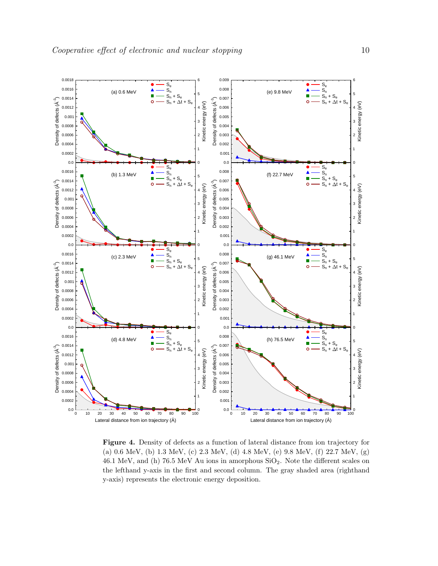

**Figure 4.** Density of defects as a function of lateral distance from ion trajectory for (a) 0.6 MeV, (b) 1.3 MeV, (c) 2.3 MeV, (d) 4.8 MeV, (e) 9.8 MeV, (f) 22.7 MeV, (g) 46.1 MeV, and (h) 76.5 MeV Au ions in amorphous  $SiO<sub>2</sub>$ . Note the different scales on the lefthand y-axis in the first and second column. The gray shaded area (righthand y-axis) represents the electronic energy deposition.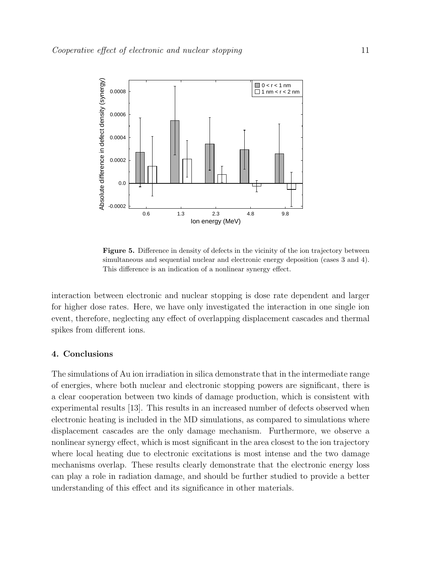

**Figure 5.** Difference in density of defects in the vicinity of the ion trajectory between simultaneous and sequential nuclear and electronic energy deposition (cases 3 and 4). This difference is an indication of a nonlinear synergy effect.

interaction between electronic and nuclear stopping is dose rate dependent and larger for higher dose rates. Here, we have only investigated the interaction in one single ion event, therefore, neglecting any effect of overlapping displacement cascades and thermal spikes from different ions.

## **4. Conclusions**

The simulations of Au ion irradiation in silica demonstrate that in the intermediate range of energies, where both nuclear and electronic stopping powers are significant, there is a clear cooperation between two kinds of damage production, which is consistent with experimental results [13]. This results in an increased number of defects observed when electronic heating is included in the MD simulations, as compared to simulations where displacement cascades are the only damage mechanism. Furthermore, we observe a nonlinear synergy effect, which is most significant in the area closest to the ion trajectory where local heating due to electronic excitations is most intense and the two damage mechanisms overlap. These results clearly demonstrate that the electronic energy loss can play a role in radiation damage, and should be further studied to provide a better understanding of this effect and its significance in other materials.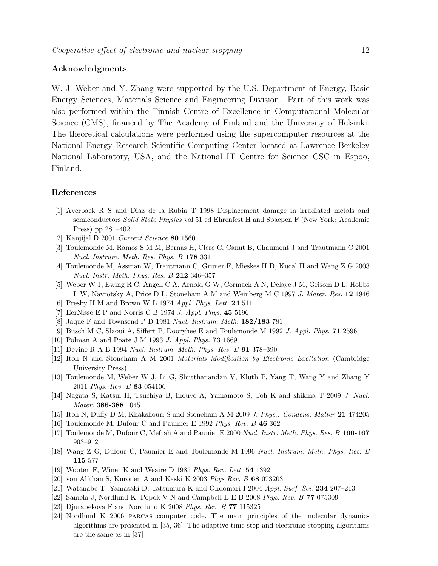# **Acknowledgments**

W. J. Weber and Y. Zhang were supported by the U.S. Department of Energy, Basic Energy Sciences, Materials Science and Engineering Division. Part of this work was also performed within the Finnish Centre of Excellence in Computational Molecular Science (CMS), financed by The Academy of Finland and the University of Helsinki. The theoretical calculations were performed using the supercomputer resources at the National Energy Research Scientific Computing Center located at Lawrence Berkeley National Laboratory, USA, and the National IT Centre for Science CSC in Espoo, Finland.

## **References**

- [1] Averback R S and Diaz de la Rubia T 1998 Displacement damage in irradiated metals and semiconductors *Solid State Physics* vol 51 ed Ehrenfest H and Spaepen F (New York: Academic Press) pp 281–402
- [2] Kanjijal D 2001 *Current Science* **80** 1560
- [3] Toulemonde M, Ramos S M M, Bernas H, Clerc C, Canut B, Chaumont J and Trautmann C 2001 *Nucl. Instrum. Meth. Res. Phys. B* **178** 331
- [4] Toulemonde M, Assman W, Trautmann C, Gruner F, Mieskes H D, Kucal H and Wang Z G 2003 *Nucl. Instr. Meth. Phys. Res. B* **212** 346–357
- [5] Weber W J, Ewing R C, Angell C A, Arnold G W, Cormack A N, Delaye J M, Grisom D L, Hobbs L W, Navrotsky A, Price D L, Stoneham A M and Weinberg M C 1997 *J. Mater. Res.* **12** 1946
- [6] Presby H M and Brown W L 1974 *Appl. Phys. Lett.* **24** 511
- [7] EerNisse E P and Norris C B 1974 *J. Appl. Phys.* **45** 5196
- [8] Jaque F and Townsend P D 1981 *Nucl. Instrum. Meth.* **182/183** 781
- [9] Busch M C, Slaoui A, Siffert P, Dooryhee E and Toulemonde M 1992 *J. Appl. Phys.* **71** 2596
- [10] Polman A and Poate J M 1993 *J. Appl. Phys.* **73** 1669
- [11] Devine R A B 1994 *Nucl. Instrum. Meth. Phys. Res. B* **91** 378–390
- [12] Itoh N and Stoneham A M 2001 *Materials Modification by Electronic Excitation* (Cambridge University Press)
- [13] Toulemonde M, Weber W J, Li G, Shutthanandan V, Kluth P, Yang T, Wang Y and Zhang Y 2011 *Phys. Rev. B* **83** 054106
- [14] Nagata S, Katsui H, Tsuchiya B, Inouye A, Yamamoto S, Toh K and shikma T 2009 *J. Nucl. Mater.* **386-388** 1045
- [15] Itoh N, Duffy D M, Khakshouri S and Stoneham A M 2009 *J. Phys.: Condens. Matter* **21** 474205
- [16] Toulemonde M, Dufour C and Paumier E 1992 *Phys. Rev. B* **46** 362
- [17] Toulemonde M, Dufour C, Meftah A and Paunier E 2000 *Nucl. Instr. Meth. Phys. Res. B* **166-167** 903–912
- [18] Wang Z G, Dufour C, Paumier E and Toulemonde M 1996 *Nucl. Instrum. Meth. Phys. Res. B* **115** 577
- [19] Wooten F, Winer K and Weaire D 1985 *Phys. Rev. Lett.* **54** 1392
- [20] von Alfthan S, Kuronen A and Kaski K 2003 *Phys Rev. B* **68** 073203
- [21] Watanabe T, Yamasaki D, Tatsumura K and Ohdomari I 2004 *Appl. Surf. Sci.* **234** 207–213
- [22] Samela J, Nordlund K, Popok V N and Campbell E E B 2008 *Phys. Rev. B* **77** 075309
- [23] Djurabekova F and Nordlund K 2008 *Phys. Rev. B* **77** 115325
- [24] Nordlund K 2006 parcas computer code. The main principles of the molecular dynamics algorithms are presented in [35, 36]. The adaptive time step and electronic stopping algorithms are the same as in [37]